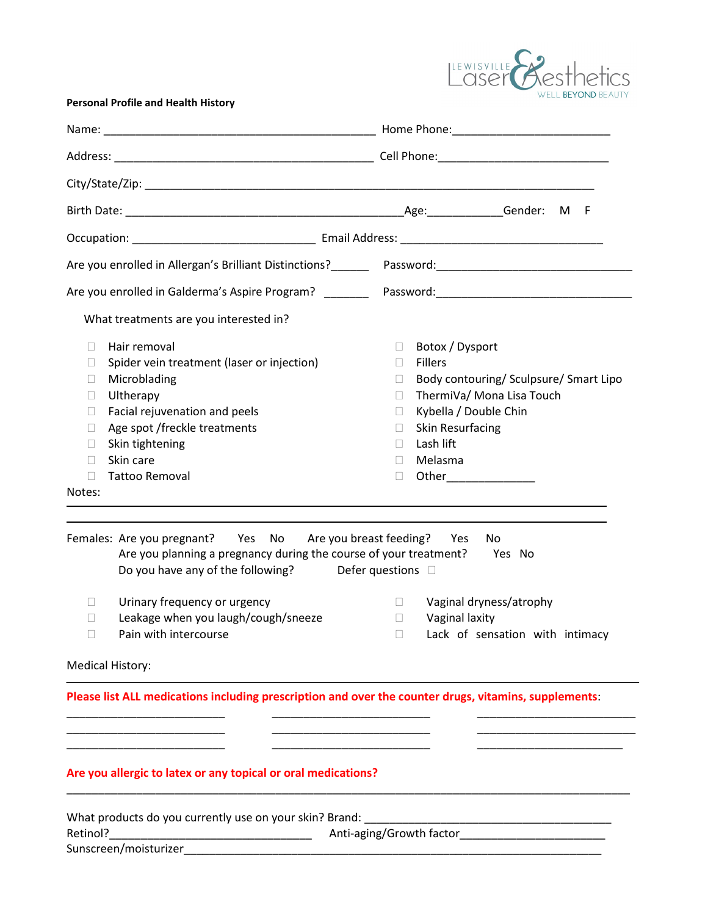

## **Personal Profile and Health History**

| Are you enrolled in Allergan's Brilliant Distinctions?<br>2022 - Password: Changen Changen Changen Changen Changen (1992)                                                                                                                                                                               |                                                                                                                                                                                                                                                                                |  |  |  |
|---------------------------------------------------------------------------------------------------------------------------------------------------------------------------------------------------------------------------------------------------------------------------------------------------------|--------------------------------------------------------------------------------------------------------------------------------------------------------------------------------------------------------------------------------------------------------------------------------|--|--|--|
|                                                                                                                                                                                                                                                                                                         |                                                                                                                                                                                                                                                                                |  |  |  |
| What treatments are you interested in?                                                                                                                                                                                                                                                                  |                                                                                                                                                                                                                                                                                |  |  |  |
| Hair removal<br>$\Box$<br>Spider vein treatment (laser or injection)<br>$\Box$<br>Microblading<br>$\mathbf{L}$<br>Ultherapy<br>$\Box$<br>Facial rejuvenation and peels<br>Ш<br>Age spot /freckle treatments<br>П<br>Skin tightening<br>П<br>Skin care<br>$\Box$<br><b>Tattoo Removal</b><br>П<br>Notes: | Botox / Dysport<br>$\Box$<br>Fillers<br>$\Box$<br>Body contouring/ Sculpsure/ Smart Lipo<br>$\mathbb{R}^n$<br>ThermiVa/ Mona Lisa Touch<br>П<br>Kybella / Double Chin<br>$\Box$<br><b>Skin Resurfacing</b><br>$\mathbb{R}^n$<br>Lash lift<br>П.<br>Melasma<br>$\Box$<br>$\Box$ |  |  |  |
| Females: Are you pregnant? Yes No Are you breast feeding? Yes<br>Are you planning a pregnancy during the course of your treatment? Yes No<br>Do you have any of the following? Defer questions $\square$                                                                                                | No.                                                                                                                                                                                                                                                                            |  |  |  |
| Urinary frequency or urgency<br>$\mathbf{L}$<br>Leakage when you laugh/cough/sneeze<br>П<br>Pain with intercourse<br>$\mathbf{L}$<br><b>Medical History:</b>                                                                                                                                            | Vaginal dryness/atrophy<br>$\Box$<br>Vaginal laxity<br>$\Box$<br>Lack of sensation with intimacy<br>$\Box$                                                                                                                                                                     |  |  |  |
|                                                                                                                                                                                                                                                                                                         |                                                                                                                                                                                                                                                                                |  |  |  |
| Please list ALL medications including prescription and over the counter drugs, vitamins, supplements:<br>Are you allergic to latex or any topical or oral medications?                                                                                                                                  |                                                                                                                                                                                                                                                                                |  |  |  |
| What products do you currently use on your skin? Brand:<br>Retinol?                                                                                                                                                                                                                                     | Anti-aging/Growth factor                                                                                                                                                                                                                                                       |  |  |  |

Sunscreen/moisturizer\_\_\_\_\_\_\_\_\_\_\_\_\_\_\_\_\_\_\_\_\_\_\_\_\_\_\_\_\_\_\_\_\_\_\_\_\_\_\_\_\_\_\_\_\_\_\_\_\_\_\_\_\_\_\_\_\_\_\_\_\_\_\_\_\_\_